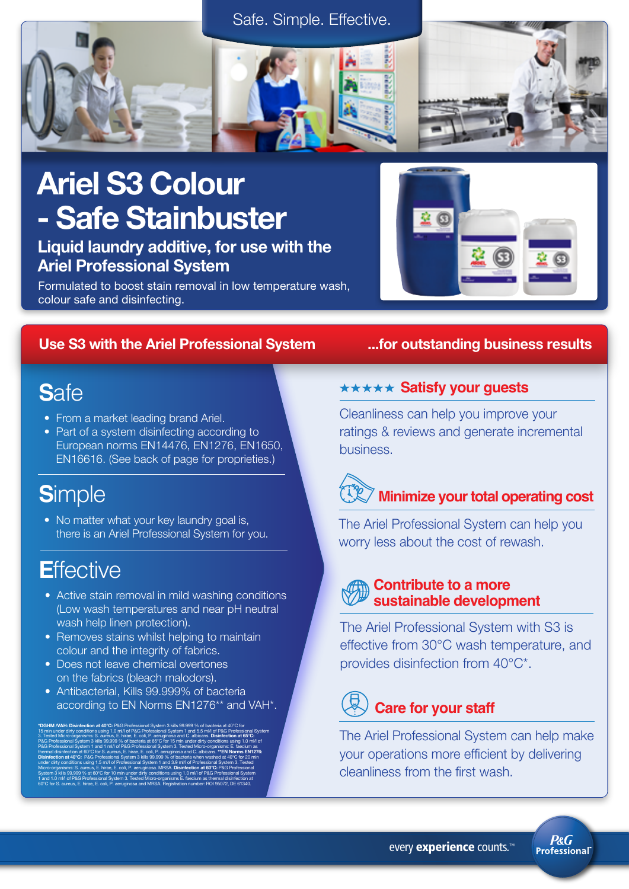



# Ariel S3 Colour - Safe Stainbuster

Liquid laundry additive, for use with the Ariel Professional System

Formulated to boost stain removal in low temperature wash, colour safe and disinfecting.

#### Use S3 with the Ariel Professional System ...for outstanding business results

# **S**afe

- From a market leading brand Ariel.
- Part of a system disinfecting according to European norms EN14476, EN1276, EN1650, EN16616. (See back of page for proprieties.)

# **S**imple

• No matter what your key laundry goal is, there is an Ariel Professional System for you.

# **E**ffective

- Active stain removal in mild washing conditions (Low wash temperatures and near pH neutral wash help linen protection).
- Removes stains whilst helping to maintain colour and the integrity of fabrics.
- Does not leave chemical overtones on the fabrics (bleach malodors).
- Antibacterial, Kills 99.999% of bacteria according to EN Norms EN1276\*\* and VAH\*.

\*DGHM /VAH: Disinfection at 40°C: P&G Professional System 3 kills 99.999 % of bacteria at 40°C for 15 min under dirty conditions using 1.0 ml/l of P&G Professional System 1 and 5.5 ml/l of P&G Professional System 3. Tested Micro-organisms: S. aureus, E. hirae, E. coli, P. aeruginosa and C. albicans. Disinfection at 65°C: P&G Professional System 3 kills 99.999 % of bacteria at 65°C for 15 min under dirty conditions using 1.0 ml/l of P&G Professional System 1 and 1 ml/l of P&G Professional System 3. Tested Micro-organisms: E. faecium as thermal disinfection at 60°C for S. aureus, E. hirae, E. coli, P. aeruginosa and C. albicans. \*\*EN Norms EN1276: Disinfection at 40°C: P&G Professional System 3 kills 99.999 % of bacteria when washed at 40°C for 20 min under dirty conditions using 1.5 ml/l of Professional System 1 and 3.9 ml/l of Professional System 3. Tested Micro-organisms: S. aureus, E. hirae, E. coli, P. aeruginosa. MRSA. Disinfection at 60°C: P&G Professional System 3 kills 99.999 % at 60°C for 10 min under dirty conditions using 1.0 ml/l of P&G Professional System 1 and 1.0 ml/l of P&G Professional System 3. Tested Micro-organisms E. faecium as thermal disinfection at 60°C for S. aureus, E. hirae, E. coli, P. aeruginosa and MRSA. Registration number: ROI 95072, DE 61340.

#### **\*\*\*\*\* Satisfy your guests**

Cleanliness can help you improve your ratings & reviews and generate incremental business.

# **Minimize your total operating cost <sup>100</sup>**

The Ariel Professional System can help you worry less about the cost of rewash.

#### **Contribute to a more sustainable development**

The Ariel Professional System with S3 is effective from 30°C wash temperature, and provides disinfection from 40°C\*.

# **Care for your staff**

The Ariel Professional System can help make your operations more efficient by delivering cleanliness from the first wash.

**P&G** Professional